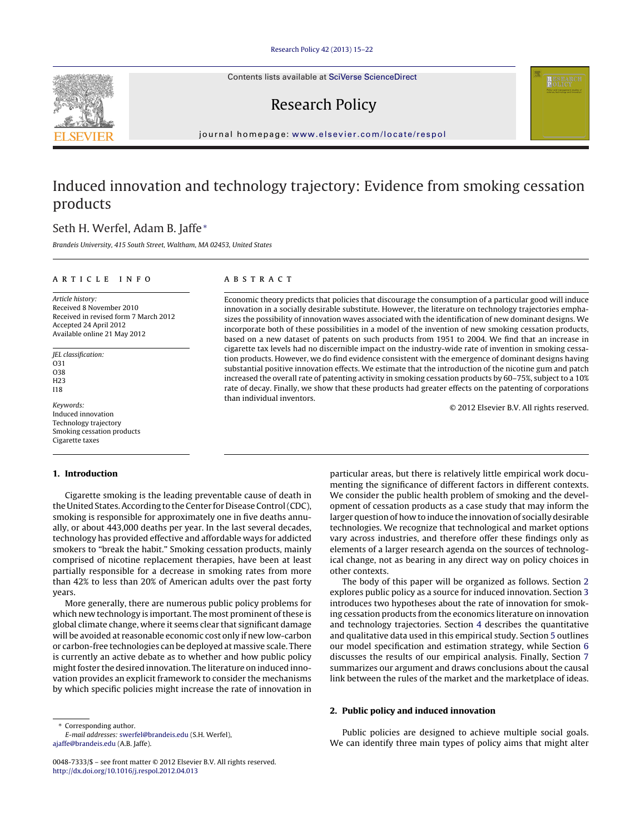Contents lists available at SciVerse [ScienceDirect](http://www.sciencedirect.com/science/journal/00487333)

# Research Policy

jour nal homepage: [www.elsevier.com/locate/respol](http://www.elsevier.com/locate/respol)

## Induced innovation and technology trajectory: Evidence from smoking cessation products

## Seth H. Werfel, Adam B. Jaffe<sup>∗</sup>

Brandeis University, 415 South Street, Waltham, MA 02453, United States

#### ARTICLE INFO

Article history: Received 8 November 2010 Received in revised form 7 March 2012 Accepted 24 April 2012 Available online 21 May 2012

JEL classification: O31 O38 H<sub>23</sub> I18

Keywords: Induced innovation Technology trajectory Smoking cessation products Cigarette taxes

#### **1. Introduction**

Cigarette smoking is the leading preventable cause of death in the United States. According to the Center for Disease Control (CDC), smoking is responsible for approximately one in five deaths annually, or about 443,000 deaths per year. In the last several decades, technology has provided effective and affordable ways for addicted smokers to "break the habit." Smoking cessation products, mainly comprised of nicotine replacement therapies, have been at least partially responsible for a decrease in smoking rates from more than 42% to less than 20% of American adults over the past forty years.

More generally, there are numerous public policy problems for which new technology is important. The most prominent of these is global climate change, where it seems clear that significant damage will be avoided at reasonable economic cost only if new low-carbon or carbon-free technologies can be deployed at massive scale. There is currently an active debate as to whether and how public policy might foster the desired innovation. The literature on induced innovation provides an explicit framework to consider the mechanisms by which specific policies might increase the rate of innovation in

∗ Corresponding author.

E-mail addresses: [swerfel@brandeis.edu](mailto:swerfel@brandeis.edu) (S.H. Werfel), [ajaffe@brandeis.edu](mailto:ajaffe@brandeis.edu) (A.B. Jaffe).

### A B S T R A C T

Economic theory predicts that policies that discourage the consumption of a particular good will induce innovation in a socially desirable substitute. However, the literature on technology trajectories emphasizes the possibility of innovation waves associated with the identification of new dominant designs. We incorporate both of these possibilities in a model of the invention of new smoking cessation products, based on a new dataset of patents on such products from 1951 to 2004. We find that an increase in cigarette tax levels had no discernible impact on the industry-wide rate of invention in smoking cessation products. However, we do find evidence consistent with the emergence of dominant designs having substantial positive innovation effects. We estimate that the introduction of the nicotine gum and patch increased the overall rate of patenting activity in smoking cessation products by 60–75%, subject to a 10% rate of decay. Finally, we show that these products had greater effects on the patenting of corporations than individual inventors.

© 2012 Elsevier B.V. All rights reserved.

particular areas, but there is relatively little empirical work documenting the significance of different factors in different contexts. We consider the public health problem of smoking and the development of cessation products as a case study that may inform the larger question of how to induce the innovation of socially desirable technologies. We recognize that technological and market options vary across industries, and therefore offer these findings only as elements of a larger research agenda on the sources of technological change, not as bearing in any direct way on policy choices in other contexts.

The body of this paper will be organized as follows. Section 2 explores public policy as a source for induced innovation. Section [3](#page-1-0) introduces two hypotheses about the rate of innovation for smoking cessation products from the economics literature on innovation and technology trajectories. Section [4](#page--1-0) describes the quantitative and qualitative data used in this empirical study. Section [5](#page--1-0) outlines our model specification and estimation strategy, while Section [6](#page--1-0) discusses the results of our empirical analysis. Finally, Section [7](#page--1-0) summarizes our argument and draws conclusions about the causal link between the rules of the market and the marketplace of ideas.

#### **2. Public policy and induced innovation**

Public policies are designed to achieve multiple social goals. We can identify three main types of policy aims that might alter



<sup>0048-7333/\$</sup> – see front matter © 2012 Elsevier B.V. All rights reserved. [http://dx.doi.org/10.1016/j.respol.2012.04.013](dx.doi.org/10.1016/j.respol.2012.04.013)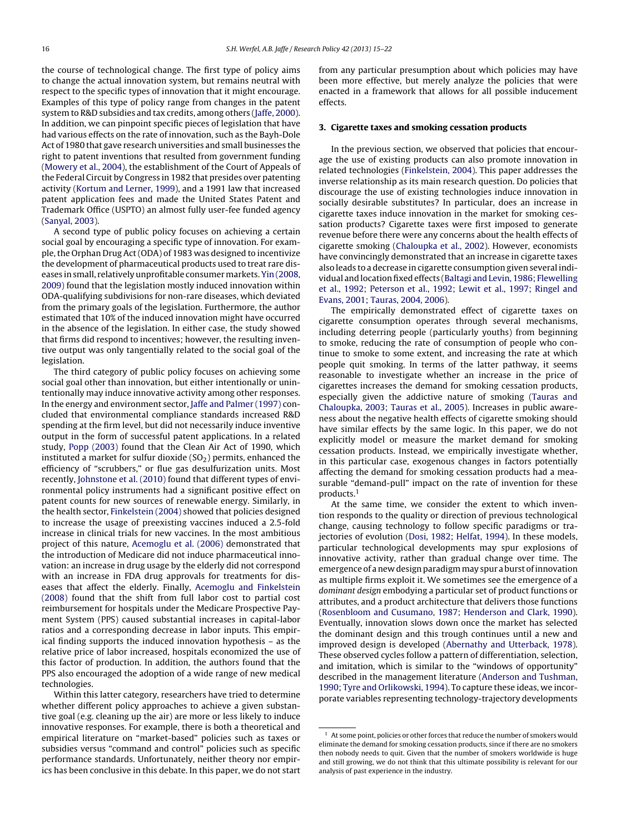<span id="page-1-0"></span>the course of technological change. The first type of policy aims to change the actual innovation system, but remains neutral with respect to the specific types of innovation that it might encourage. Examples of this type of policy range from changes in the patent system to R&D subsidies and tax credits, among others [\(Jaffe,](#page--1-0) [2000\).](#page--1-0) In addition, we can pinpoint specific pieces of legislation that have had various effects on the rate of innovation, such as the Bayh-Dole Act of 1980 that gave research universities and small businesses the right to patent inventions that resulted from government funding ([Mowery](#page--1-0) et [al.,](#page--1-0) [2004\),](#page--1-0) the establishment of the Court of Appeals of the Federal Circuit by Congress in 1982 that presides over patenting activity ([Kortum](#page--1-0) [and](#page--1-0) [Lerner,](#page--1-0) [1999\),](#page--1-0) and a 1991 law that increased patent application fees and made the United States Patent and Trademark Office (USPTO) an almost fully user-fee funded agency ([Sanyal,](#page--1-0) [2003\).](#page--1-0)

A second type of public policy focuses on achieving a certain social goal by encouraging a specific type of innovation. For example, the Orphan Drug Act (ODA) of 1983 was designed to incentivize the development of pharmaceutical products used to treat rare dis-eases in small, relatively unprofitable consumer markets. [Yin](#page--1-0) [\(2008,](#page--1-0) [2009\)](#page--1-0) found that the legislation mostly induced innovation within ODA-qualifying subdivisions for non-rare diseases, which deviated from the primary goals of the legislation. Furthermore, the author estimated that 10% of the induced innovation might have occurred in the absence of the legislation. In either case, the study showed that firms did respond to incentives; however, the resulting inventive output was only tangentially related to the social goal of the legislation.

The third category of public policy focuses on achieving some social goal other than innovation, but either intentionally or unintentionally may induce innovative activity among other responses. In the energy and environment sector, [Jaffe](#page--1-0) [and](#page--1-0) [Palmer](#page--1-0) [\(1997\)](#page--1-0) concluded that environmental compliance standards increased R&D spending at the firm level, but did not necessarily induce inventive output in the form of successful patent applications. In a related study, [Popp](#page--1-0) [\(2003\)](#page--1-0) found that the Clean Air Act of 1990, which instituted a market for sulfur dioxide  $(SO<sub>2</sub>)$  permits, enhanced the efficiency of "scrubbers," or flue gas desulfurization units. Most recently, [Johnstone](#page--1-0) et [al.](#page--1-0) [\(2010\)](#page--1-0) found that different types of environmental policy instruments had a significant positive effect on patent counts for new sources of renewable energy. Similarly, in the health sector, [Finkelstein](#page--1-0) [\(2004\)](#page--1-0) showed that policies designed to increase the usage of preexisting vaccines induced a 2.5-fold increase in clinical trials for new vaccines. In the most ambitious project of this nature, [Acemoglu](#page--1-0) et [al.](#page--1-0) [\(2006\)](#page--1-0) demonstrated that the introduction of Medicare did not induce pharmaceutical innovation: an increase in drug usage by the elderly did not correspond with an increase in FDA drug approvals for treatments for diseases that affect the elderly. Finally, [Acemoglu](#page--1-0) [and](#page--1-0) [Finkelstein](#page--1-0) [\(2008\)](#page--1-0) found that the shift from full labor cost to partial cost reimbursement for hospitals under the Medicare Prospective Payment System (PPS) caused substantial increases in capital-labor ratios and a corresponding decrease in labor inputs. This empirical finding supports the induced innovation hypothesis – as the relative price of labor increased, hospitals economized the use of this factor of production. In addition, the authors found that the PPS also encouraged the adoption of a wide range of new medical technologies.

Within this latter category, researchers have tried to determine whether different policy approaches to achieve a given substantive goal (e.g. cleaning up the air) are more or less likely to induce innovative responses. For example, there is both a theoretical and empirical literature on "market-based" policies such as taxes or subsidies versus "command and control" policies such as specific performance standards. Unfortunately, neither theory nor empirics has been conclusive in this debate. In this paper, we do not start from any particular presumption about which policies may have been more effective, but merely analyze the policies that were enacted in a framework that allows for all possible inducement effects.

#### **3. Cigarette taxes and smoking cessation products**

In the previous section, we observed that policies that encourage the use of existing products can also promote innovation in related technologies ([Finkelstein,](#page--1-0) [2004\).](#page--1-0) This paper addresses the inverse relationship as its main research question. Do policies that discourage the use of existing technologies induce innovation in socially desirable substitutes? In particular, does an increase in cigarette taxes induce innovation in the market for smoking cessation products? Cigarette taxes were first imposed to generate revenue before there were any concerns about the health effects of cigarette smoking [\(Chaloupka](#page--1-0) et [al.,](#page--1-0) [2002\).](#page--1-0) However, economists have convincingly demonstrated that an increase in cigarette taxes also leads to a decrease in cigarette consumption given several indi-vidual and location fixed effects [\(Baltagi](#page--1-0) [and](#page--1-0) [Levin,](#page--1-0) [1986;](#page--1-0) [Flewelling](#page--1-0) et [al.,](#page--1-0) [1992;](#page--1-0) [Peterson](#page--1-0) et [al.,](#page--1-0) [1992;](#page--1-0) [Lewit](#page--1-0) et [al.,](#page--1-0) [1997;](#page--1-0) [Ringel](#page--1-0) [and](#page--1-0) [Evans,](#page--1-0) [2001;](#page--1-0) [Tauras,](#page--1-0) [2004,](#page--1-0) [2006\).](#page--1-0)

The empirically demonstrated effect of cigarette taxes on cigarette consumption operates through several mechanisms, including deterring people (particularly youths) from beginning to smoke, reducing the rate of consumption of people who continue to smoke to some extent, and increasing the rate at which people quit smoking. In terms of the latter pathway, it seems reasonable to investigate whether an increase in the price of cigarettes increases the demand for smoking cessation products, especially given the addictive nature of smoking ([Tauras](#page--1-0) [and](#page--1-0) [Chaloupka,](#page--1-0) [2003;](#page--1-0) [Tauras](#page--1-0) et [al.,](#page--1-0) [2005\).](#page--1-0) Increases in public awareness about the negative health effects of cigarette smoking should have similar effects by the same logic. In this paper, we do not explicitly model or measure the market demand for smoking cessation products. Instead, we empirically investigate whether, in this particular case, exogenous changes in factors potentially affecting the demand for smoking cessation products had a measurable "demand-pull" impact on the rate of invention for these products.1

At the same time, we consider the extent to which invention responds to the quality or direction of previous technological change, causing technology to follow specific paradigms or trajectories of evolution ([Dosi,](#page--1-0) [1982;](#page--1-0) [Helfat,](#page--1-0) [1994\).](#page--1-0) In these models, particular technological developments may spur explosions of innovative activity, rather than gradual change over time. The emergence of a new design paradigm may spur a burst of innovation as multiple firms exploit it. We sometimes see the emergence of a dominant design embodying a particular set of product functions or attributes, and a product architecture that delivers those functions [\(Rosenbloom](#page--1-0) [and](#page--1-0) [Cusumano,](#page--1-0) [1987;](#page--1-0) [Henderson](#page--1-0) [and](#page--1-0) [Clark,](#page--1-0) [1990\).](#page--1-0) Eventually, innovation slows down once the market has selected the dominant design and this trough continues until a new and improved design is developed [\(Abernathy](#page--1-0) [and](#page--1-0) [Utterback,](#page--1-0) [1978\).](#page--1-0) These observed cycles follow a pattern of differentiation, selection, and imitation, which is similar to the "windows of opportunity" described in the management literature ([Anderson](#page--1-0) [and](#page--1-0) [Tushman,](#page--1-0) [1990;](#page--1-0) [Tyre](#page--1-0) [and](#page--1-0) [Orlikowski,](#page--1-0) [1994\).](#page--1-0) To capture these ideas, we incorporate variables representing technology-trajectory developments

 $1$  At some point, policies or other forces that reduce the number of smokers would eliminate the demand for smoking cessation products, since if there are no smokers then nobody needs to quit. Given that the number of smokers worldwide is huge and still growing, we do not think that this ultimate possibility is relevant for our analysis of past experience in the industry.